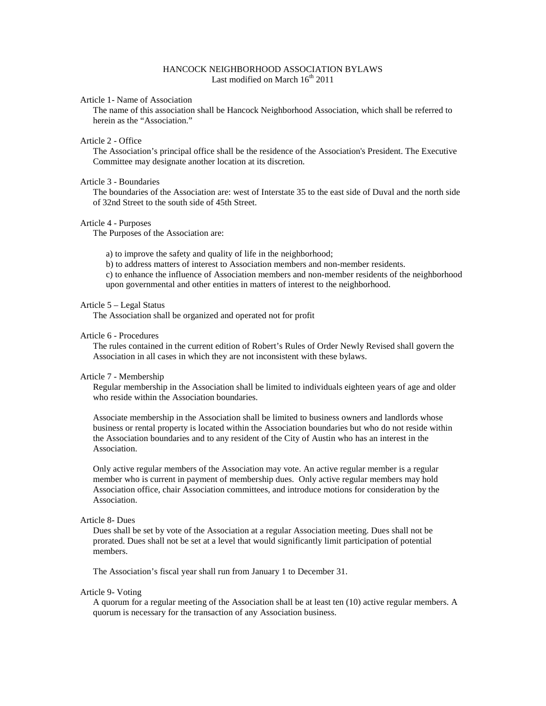# HANCOCK NEIGHBORHOOD ASSOCIATION BYLAWS Last modified on March  $16<sup>th</sup> 2011$

# Article 1- Name of Association

The name of this association shall be Hancock Neighborhood Association, which shall be referred to herein as the "Association."

#### Article 2 - Office

The Association's principal office shall be the residence of the Association's President. The Executive Committee may designate another location at its discretion.

# Article 3 - Boundaries

The boundaries of the Association are: west of Interstate 35 to the east side of Duval and the north side of 32nd Street to the south side of 45th Street.

#### Article 4 - Purposes

The Purposes of the Association are:

a) to improve the safety and quality of life in the neighborhood;

b) to address matters of interest to Association members and non-member residents.

c) to enhance the influence of Association members and non-member residents of the neighborhood upon governmental and other entities in matters of interest to the neighborhood.

### Article 5 – Legal Status

The Association shall be organized and operated not for profit

#### Article 6 - Procedures

The rules contained in the current edition of Robert's Rules of Order Newly Revised shall govern the Association in all cases in which they are not inconsistent with these bylaws.

### Article 7 - Membership

Regular membership in the Association shall be limited to individuals eighteen years of age and older who reside within the Association boundaries.

Associate membership in the Association shall be limited to business owners and landlords whose business or rental property is located within the Association boundaries but who do not reside within the Association boundaries and to any resident of the City of Austin who has an interest in the Association.

Only active regular members of the Association may vote. An active regular member is a regular member who is current in payment of membership dues. Only active regular members may hold Association office, chair Association committees, and introduce motions for consideration by the Association.

# Article 8- Dues

Dues shall be set by vote of the Association at a regular Association meeting. Dues shall not be prorated. Dues shall not be set at a level that would significantly limit participation of potential members.

The Association's fiscal year shall run from January 1 to December 31.

#### Article 9- Voting

A quorum for a regular meeting of the Association shall be at least ten (10) active regular members. A quorum is necessary for the transaction of any Association business.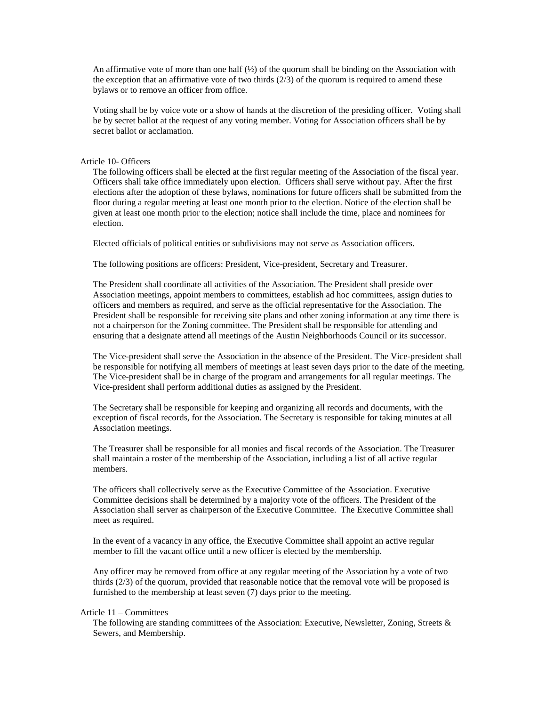An affirmative vote of more than one half  $\langle \frac{1}{2} \rangle$  of the quorum shall be binding on the Association with the exception that an affirmative vote of two thirds  $(2/3)$  of the quorum is required to amend these bylaws or to remove an officer from office.

Voting shall be by voice vote or a show of hands at the discretion of the presiding officer. Voting shall be by secret ballot at the request of any voting member. Voting for Association officers shall be by secret ballot or acclamation.

# Article 10- Officers

The following officers shall be elected at the first regular meeting of the Association of the fiscal year. Officers shall take office immediately upon election. Officers shall serve without pay. After the first elections after the adoption of these bylaws, nominations for future officers shall be submitted from the floor during a regular meeting at least one month prior to the election. Notice of the election shall be given at least one month prior to the election; notice shall include the time, place and nominees for election.

Elected officials of political entities or subdivisions may not serve as Association officers.

The following positions are officers: President, Vice-president, Secretary and Treasurer.

The President shall coordinate all activities of the Association. The President shall preside over Association meetings, appoint members to committees, establish ad hoc committees, assign duties to officers and members as required, and serve as the official representative for the Association. The President shall be responsible for receiving site plans and other zoning information at any time there is not a chairperson for the Zoning committee. The President shall be responsible for attending and ensuring that a designate attend all meetings of the Austin Neighborhoods Council or its successor.

The Vice-president shall serve the Association in the absence of the President. The Vice-president shall be responsible for notifying all members of meetings at least seven days prior to the date of the meeting. The Vice-president shall be in charge of the program and arrangements for all regular meetings. The Vice-president shall perform additional duties as assigned by the President.

The Secretary shall be responsible for keeping and organizing all records and documents, with the exception of fiscal records, for the Association. The Secretary is responsible for taking minutes at all Association meetings.

The Treasurer shall be responsible for all monies and fiscal records of the Association. The Treasurer shall maintain a roster of the membership of the Association, including a list of all active regular members.

The officers shall collectively serve as the Executive Committee of the Association. Executive Committee decisions shall be determined by a majority vote of the officers. The President of the Association shall server as chairperson of the Executive Committee. The Executive Committee shall meet as required.

In the event of a vacancy in any office, the Executive Committee shall appoint an active regular member to fill the vacant office until a new officer is elected by the membership.

Any officer may be removed from office at any regular meeting of the Association by a vote of two thirds (2/3) of the quorum, provided that reasonable notice that the removal vote will be proposed is furnished to the membership at least seven (7) days prior to the meeting.

# Article 11 – Committees

The following are standing committees of the Association: Executive, Newsletter, Zoning, Streets & Sewers, and Membership.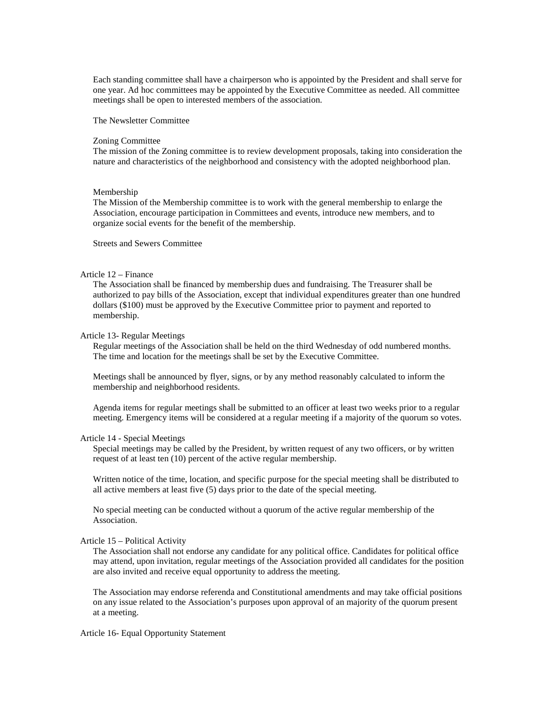Each standing committee shall have a chairperson who is appointed by the President and shall serve for one year. Ad hoc committees may be appointed by the Executive Committee as needed. All committee meetings shall be open to interested members of the association.

The Newsletter Committee

#### Zoning Committee

The mission of the Zoning committee is to review development proposals, taking into consideration the nature and characteristics of the neighborhood and consistency with the adopted neighborhood plan.

#### Membership

The Mission of the Membership committee is to work with the general membership to enlarge the Association, encourage participation in Committees and events, introduce new members, and to organize social events for the benefit of the membership.

Streets and Sewers Committee

# Article 12 – Finance

The Association shall be financed by membership dues and fundraising. The Treasurer shall be authorized to pay bills of the Association, except that individual expenditures greater than one hundred dollars (\$100) must be approved by the Executive Committee prior to payment and reported to membership.

### Article 13- Regular Meetings

Regular meetings of the Association shall be held on the third Wednesday of odd numbered months. The time and location for the meetings shall be set by the Executive Committee.

Meetings shall be announced by flyer, signs, or by any method reasonably calculated to inform the membership and neighborhood residents.

Agenda items for regular meetings shall be submitted to an officer at least two weeks prior to a regular meeting. Emergency items will be considered at a regular meeting if a majority of the quorum so votes.

# Article 14 - Special Meetings

Special meetings may be called by the President, by written request of any two officers, or by written request of at least ten (10) percent of the active regular membership.

Written notice of the time, location, and specific purpose for the special meeting shall be distributed to all active members at least five (5) days prior to the date of the special meeting.

No special meeting can be conducted without a quorum of the active regular membership of the Association.

### Article 15 – Political Activity

The Association shall not endorse any candidate for any political office. Candidates for political office may attend, upon invitation, regular meetings of the Association provided all candidates for the position are also invited and receive equal opportunity to address the meeting.

The Association may endorse referenda and Constitutional amendments and may take official positions on any issue related to the Association's purposes upon approval of an majority of the quorum present at a meeting.

Article 16- Equal Opportunity Statement